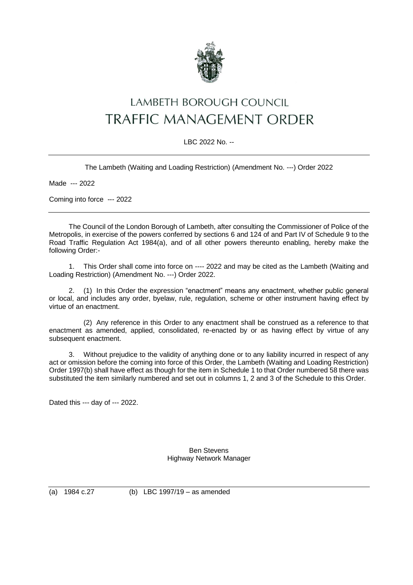

## LAMBETH BOROUGH COUNCIL **TRAFFIC MANAGEMENT ORDER**

## LBC 2022 No. --

The Lambeth (Waiting and Loading Restriction) (Amendment No. ---) Order 2022

Made --- 2022

Coming into force --- 2022

The Council of the London Borough of Lambeth, after consulting the Commissioner of Police of the Metropolis, in exercise of the powers conferred by sections 6 and 124 of and Part IV of Schedule 9 to the Road Traffic Regulation Act 1984(a), and of all other powers thereunto enabling, hereby make the following Order:-

1. This Order shall come into force on ---- 2022 and may be cited as the Lambeth (Waiting and Loading Restriction) (Amendment No. ---) Order 2022.

2. (1) In this Order the expression "enactment" means any enactment, whether public general or local, and includes any order, byelaw, rule, regulation, scheme or other instrument having effect by virtue of an enactment.

(2) Any reference in this Order to any enactment shall be construed as a reference to that enactment as amended, applied, consolidated, re-enacted by or as having effect by virtue of any subsequent enactment.

3. Without prejudice to the validity of anything done or to any liability incurred in respect of any act or omission before the coming into force of this Order, the Lambeth (Waiting and Loading Restriction) Order 1997(b) shall have effect as though for the item in Schedule 1 to that Order numbered 58 there was substituted the item similarly numbered and set out in columns 1, 2 and 3 of the Schedule to this Order.

Dated this --- day of --- 2022.

Ben Stevens Highway Network Manager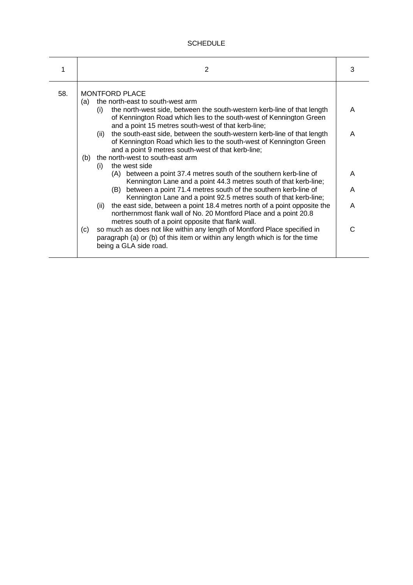## **SCHEDULE**

| 1   | 2                                                                                                                                                                                                                                                                                                                                                                                                                                                                                                                                                                                                                                                                                                                                                                                         | 3                |
|-----|-------------------------------------------------------------------------------------------------------------------------------------------------------------------------------------------------------------------------------------------------------------------------------------------------------------------------------------------------------------------------------------------------------------------------------------------------------------------------------------------------------------------------------------------------------------------------------------------------------------------------------------------------------------------------------------------------------------------------------------------------------------------------------------------|------------------|
| 58. | <b>MONTFORD PLACE</b><br>the north-east to south-west arm<br>(a)<br>the north-west side, between the south-western kerb-line of that length<br>(i)<br>of Kennington Road which lies to the south-west of Kennington Green<br>and a point 15 metres south-west of that kerb-line;<br>the south-east side, between the south-western kerb-line of that length<br>(ii)<br>of Kennington Road which lies to the south-west of Kennington Green<br>and a point 9 metres south-west of that kerb-line;<br>the north-west to south-east arm<br>(b)<br>the west side<br>(i)<br>between a point 37.4 metres south of the southern kerb-line of<br>(A)<br>Kennington Lane and a point 44.3 metres south of that kerb-line;<br>between a point 71.4 metres south of the southern kerb-line of<br>(B) | A<br>A<br>A<br>A |
|     | Kennington Lane and a point 92.5 metres south of that kerb-line;<br>the east side, between a point 18.4 metres north of a point opposite the<br>(ii)<br>northernmost flank wall of No. 20 Montford Place and a point 20.8<br>metres south of a point opposite that flank wall.<br>so much as does not like within any length of Montford Place specified in<br>(c)<br>paragraph (a) or (b) of this item or within any length which is for the time<br>being a GLA side road.                                                                                                                                                                                                                                                                                                              | Α<br>C           |